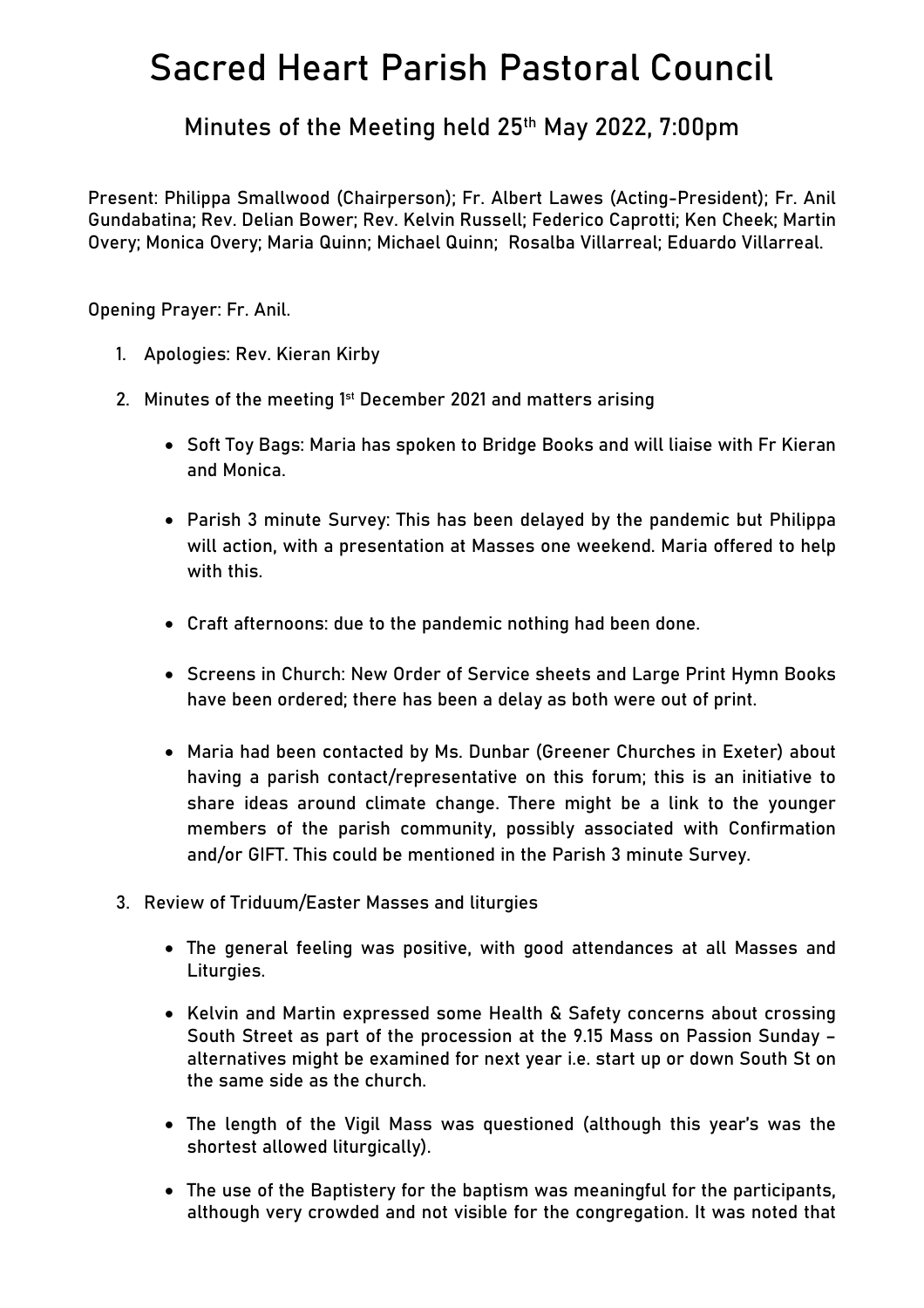## **Sacred Heart Parish Pastoral Council**

**Minutes of the Meeting held 25th May 2022, 7:00pm**

**Present:** Philippa Smallwood (Chairperson); Fr. Albert Lawes (Acting-President); Fr. Anil Gundabatina; Rev. Delian Bower; Rev. Kelvin Russell; Federico Caprotti; Ken Cheek; Martin Overy; Monica Overy; Maria Quinn; Michael Quinn; Rosalba Villarreal; Eduardo Villarreal.

**Opening Prayer:** Fr. Anil.

- 1. **Apologies:** Rev. Kieran Kirby
- 2. **Minutes of the meeting 1 st December 2021 and matters arising**
	- **Soft Toy Bags:** Maria has spoken to Bridge Books and will liaise with Fr Kieran and Monica.
	- **Parish 3 minute Survey:** This has been delayed by the pandemic but Philippa will action, with a presentation at Masses one weekend. Maria offered to help with this.
	- **Craft afternoons:** due to the pandemic nothing had been done.
	- **Screens in Church:** New Order of Service sheets and Large Print Hymn Books have been ordered; there has been a delay as both were out of print.
	- Maria had been contacted by Ms. Dunbar (Greener Churches in Exeter) about having a parish contact/representative on this forum; this is an initiative to share ideas around climate change. There might be a link to the younger members of the parish community, possibly associated with Confirmation and/or GIFT. This could be mentioned in the Parish 3 minute Survey.
- **3. Review of Triduum/Easter Masses and liturgies**
	- The general feeling was positive, with good attendances at all Masses and Liturgies.
	- Kelvin and Martin expressed some Health & Safety concerns about crossing South Street as part of the procession at the 9.15 Mass on Passion Sunday – alternatives might be examined for next year i.e. start up or down South St on the same side as the church.
	- The length of the Vigil Mass was questioned (although this year's was the shortest allowed liturgically).
	- The use of the Baptistery for the baptism was meaningful for the participants, although very crowded and not visible for the congregation. It was noted that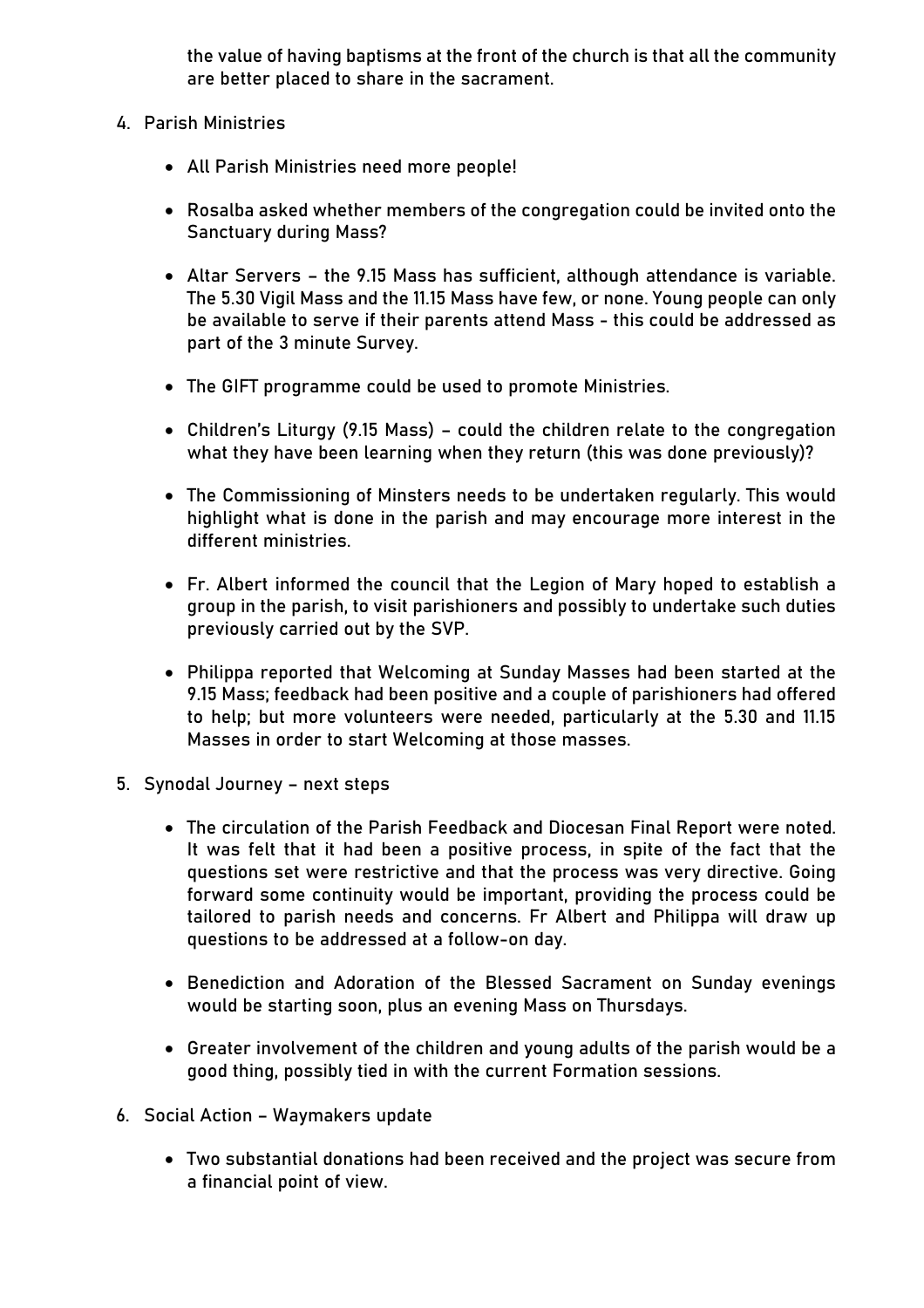the value of having baptisms at the front of the church is that all the community are better placed to share in the sacrament.

- **4. Parish Ministries**
	- All Parish Ministries need more people!
	- Rosalba asked whether members of the congregation could be invited onto the Sanctuary during Mass?
	- Altar Servers the 9.15 Mass has sufficient, although attendance is variable. The 5.30 Vigil Mass and the 11.15 Mass have few, or none. Young people can only be available to serve if their parents attend Mass - this could be addressed as part of the 3 minute Survey.
	- The GIFT programme could be used to promote Ministries.
	- Children's Liturgy (9.15 Mass) could the children relate to the congregation what they have been learning when they return (this was done previously)?
	- The Commissioning of Minsters needs to be undertaken regularly. This would highlight what is done in the parish and may encourage more interest in the different ministries.
	- Fr. Albert informed the council that the Legion of Mary hoped to establish a group in the parish, to visit parishioners and possibly to undertake such duties previously carried out by the SVP.
	- Philippa reported that Welcoming at Sunday Masses had been started at the 9.15 Mass; feedback had been positive and a couple of parishioners had offered to help; but more volunteers were needed, particularly at the 5.30 and 11.15 Masses in order to start Welcoming at those masses.
- **5. Synodal Journey – next steps**
	- The circulation of the Parish Feedback and Diocesan Final Report were noted. It was felt that it had been a positive process, in spite of the fact that the questions set were restrictive and that the process was very directive. Going forward some continuity would be important, providing the process could be tailored to parish needs and concerns. Fr Albert and Philippa will draw up questions to be addressed at a follow-on day.
	- Benediction and Adoration of the Blessed Sacrament on Sunday evenings would be starting soon, plus an evening Mass on Thursdays.
	- Greater involvement of the children and young adults of the parish would be a good thing, possibly tied in with the current Formation sessions.
- **6. Social Action – Waymakers update**
	- Two substantial donations had been received and the project was secure from a financial point of view.